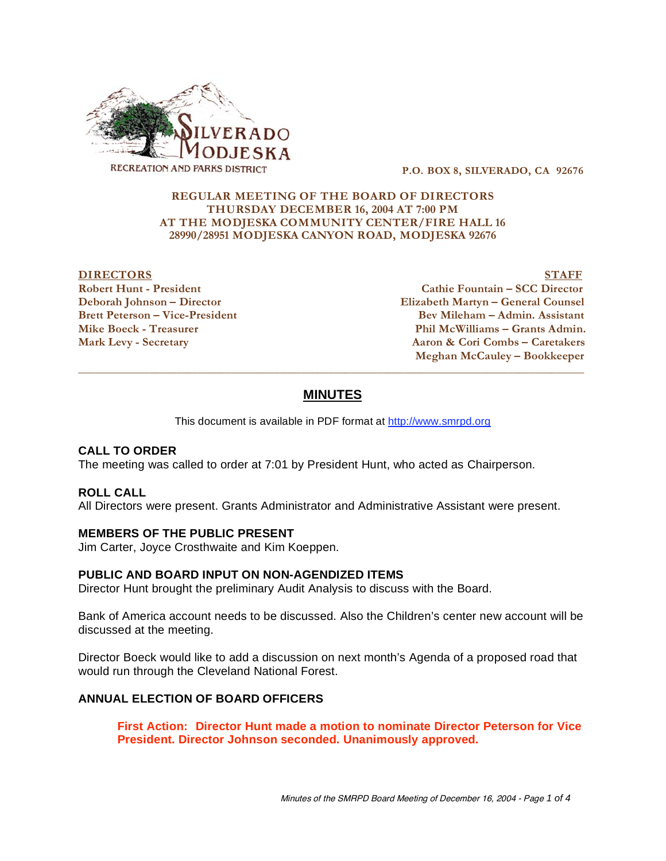

 **P.O. BOX 8, SILVERADO, CA 92676** 

### **REGULAR MEETING OF THE BOARD OF DIRECTORS THURSDAY DECEMBER 16, 2004 AT 7:00 PM AT THE MODJESKA COMMUNITY CENTER/FIRE HALL 16 28990/28951 MODJESKA CANYON ROAD, MODJESKA 92676**

### **DIRECTORS** STAFF

**Robert Hunt - President Cathie Fountain – SCC Director Deborah Johnson – Director Elizabeth Martyn – General Counsel Bev Mileham – Admin. Assistant** Mike Boeck - Treasurer **Phil McWilliams – Grants Admin. Mark Levy - Secretary Aaron & Cori Combs – Caretakers Meghan McCauley – Bookkeeper** 

# **MINUTES**

 $\overline{a}$  , and the state of the state of the state of the state of the state of the state of the state of the state of the state of the state of the state of the state of the state of the state of the state of the state o

This document is available in PDF format at http://www.smrpd.org

### **CALL TO ORDER**

The meeting was called to order at 7:01 by President Hunt, who acted as Chairperson.

#### **ROLL CALL**

All Directors were present. Grants Administrator and Administrative Assistant were present.

#### **MEMBERS OF THE PUBLIC PRESENT**

Jim Carter, Joyce Crosthwaite and Kim Koeppen.

#### **PUBLIC AND BOARD INPUT ON NON-AGENDIZED ITEMS**

Director Hunt brought the preliminary Audit Analysis to discuss with the Board.

Bank of America account needs to be discussed. Also the Children's center new account will be discussed at the meeting.

Director Boeck would like to add a discussion on next month's Agenda of a proposed road that would run through the Cleveland National Forest.

#### **ANNUAL ELECTION OF BOARD OFFICERS**

**First Action: Director Hunt made a motion to nominate Director Peterson for Vice President. Director Johnson seconded. Unanimously approved.**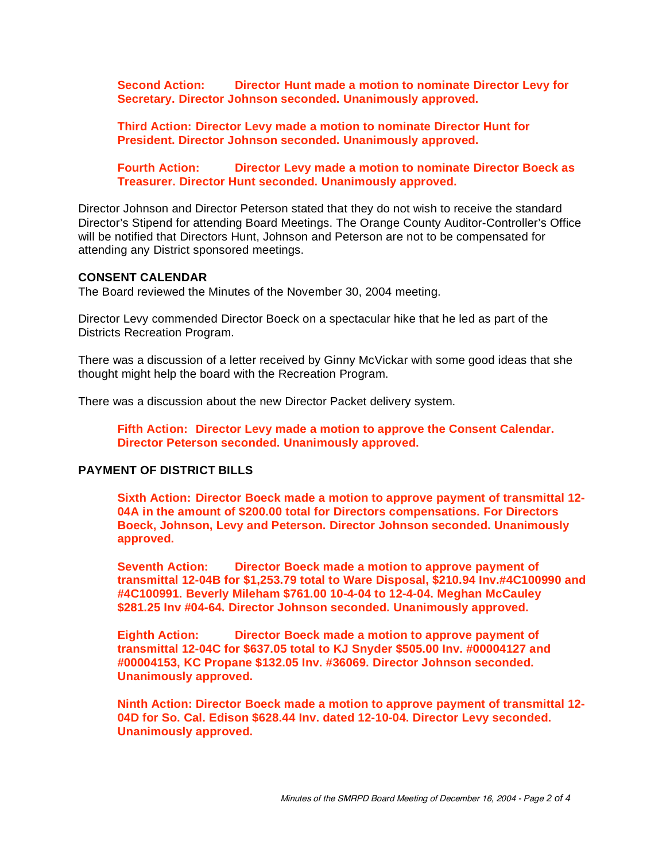**Second Action: Director Hunt made a motion to nominate Director Levy for Secretary. Director Johnson seconded. Unanimously approved.** 

**Third Action: Director Levy made a motion to nominate Director Hunt for President. Director Johnson seconded. Unanimously approved.** 

**Fourth Action: Director Levy made a motion to nominate Director Boeck as Treasurer. Director Hunt seconded. Unanimously approved.** 

Director Johnson and Director Peterson stated that they do not wish to receive the standard Director's Stipend for attending Board Meetings. The Orange County Auditor-Controller's Office will be notified that Directors Hunt, Johnson and Peterson are not to be compensated for attending any District sponsored meetings.

#### **CONSENT CALENDAR**

The Board reviewed the Minutes of the November 30, 2004 meeting.

Director Levy commended Director Boeck on a spectacular hike that he led as part of the Districts Recreation Program.

There was a discussion of a letter received by Ginny McVickar with some good ideas that she thought might help the board with the Recreation Program.

There was a discussion about the new Director Packet delivery system.

**Fifth Action: Director Levy made a motion to approve the Consent Calendar. Director Peterson seconded. Unanimously approved.** 

# **PAYMENT OF DISTRICT BILLS**

**Sixth Action: Director Boeck made a motion to approve payment of transmittal 12- 04A in the amount of \$200.00 total for Directors compensations. For Directors Boeck, Johnson, Levy and Peterson. Director Johnson seconded. Unanimously approved.** 

**Seventh Action: Director Boeck made a motion to approve payment of transmittal 12-04B for \$1,253.79 total to Ware Disposal, \$210.94 Inv.#4C100990 and #4C100991. Beverly Mileham \$761.00 10-4-04 to 12-4-04. Meghan McCauley \$281.25 Inv #04-64. Director Johnson seconded. Unanimously approved.** 

**Eighth Action: Director Boeck made a motion to approve payment of transmittal 12-04C for \$637.05 total to KJ Snyder \$505.00 Inv. #00004127 and #00004153, KC Propane \$132.05 Inv. #36069. Director Johnson seconded. Unanimously approved.** 

**Ninth Action: Director Boeck made a motion to approve payment of transmittal 12- 04D for So. Cal. Edison \$628.44 Inv. dated 12-10-04. Director Levy seconded. Unanimously approved.**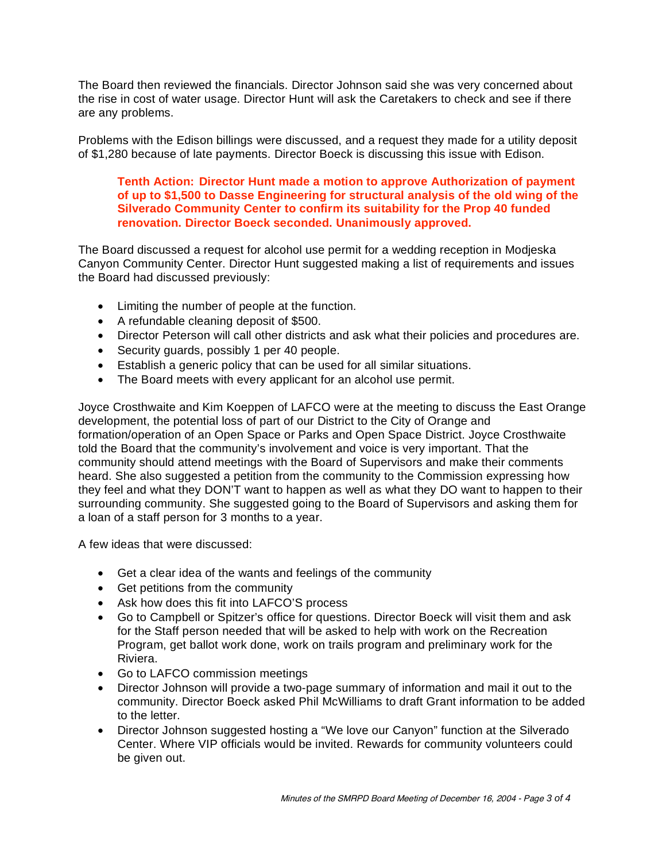The Board then reviewed the financials. Director Johnson said she was very concerned about the rise in cost of water usage. Director Hunt will ask the Caretakers to check and see if there are any problems.

Problems with the Edison billings were discussed, and a request they made for a utility deposit of \$1,280 because of late payments. Director Boeck is discussing this issue with Edison.

# **Tenth Action: Director Hunt made a motion to approve Authorization of payment of up to \$1,500 to Dasse Engineering for structural analysis of the old wing of the Silverado Community Center to confirm its suitability for the Prop 40 funded renovation. Director Boeck seconded. Unanimously approved.**

The Board discussed a request for alcohol use permit for a wedding reception in Modjeska Canyon Community Center. Director Hunt suggested making a list of requirements and issues the Board had discussed previously:

- Limiting the number of people at the function.
- A refundable cleaning deposit of \$500.
- Director Peterson will call other districts and ask what their policies and procedures are.
- Security guards, possibly 1 per 40 people.
- Establish a generic policy that can be used for all similar situations.
- The Board meets with every applicant for an alcohol use permit.

Joyce Crosthwaite and Kim Koeppen of LAFCO were at the meeting to discuss the East Orange development, the potential loss of part of our District to the City of Orange and formation/operation of an Open Space or Parks and Open Space District. Joyce Crosthwaite told the Board that the community's involvement and voice is very important. That the community should attend meetings with the Board of Supervisors and make their comments heard. She also suggested a petition from the community to the Commission expressing how they feel and what they DON'T want to happen as well as what they DO want to happen to their surrounding community. She suggested going to the Board of Supervisors and asking them for a loan of a staff person for 3 months to a year.

A few ideas that were discussed:

- Get a clear idea of the wants and feelings of the community
- Get petitions from the community
- Ask how does this fit into LAFCO'S process
- Go to Campbell or Spitzer's office for questions. Director Boeck will visit them and ask for the Staff person needed that will be asked to help with work on the Recreation Program, get ballot work done, work on trails program and preliminary work for the Riviera.
- Go to LAFCO commission meetings
- Director Johnson will provide a two-page summary of information and mail it out to the community. Director Boeck asked Phil McWilliams to draft Grant information to be added to the letter.
- Director Johnson suggested hosting a "We love our Canyon" function at the Silverado Center. Where VIP officials would be invited. Rewards for community volunteers could be given out.